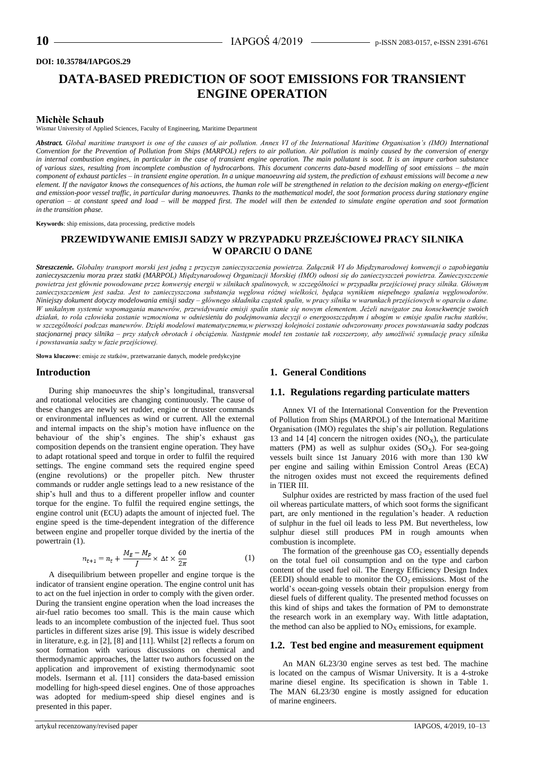#### **DOI: 10.35784/IAPGOS.29**

# **DATA-BASED PREDICTION OF SOOT EMISSIONS FOR TRANSIENT ENGINE OPERATION**

#### **Michèle Schaub**

Wismar University of Applied Sciences, Faculty of Engineering, Maritime Department

*Abstract. Global maritime transport is one of the causes of air pollution. Annex VI of the International Maritime Organisation's (IMO) International Convention for the Prevention of Pollution from Ships (MARPOL) refers to air pollution. Air pollution is mainly caused by the conversion of energy in internal combustion engines, in particular in the case of transient engine operation. The main pollutant is soot. It is an impure carbon substance of various sizes, resulting from incomplete combustion of hydrocarbons. This document concerns data-based modelling of soot emissions – the main component of exhaust particles – in transient engine operation. In a unique manoeuvring aid system, the prediction of exhaust emissions will become a new element. If the navigator knows the consequences of his actions, the human role will be strengthened in relation to the decision making on energy-efficient and emission-poor vessel traffic, in particular during manoeuvres. Thanks to the mathematical model, the soot formation process during stationary engine operation – at constant speed and load – will be mapped first. The model will then be extended to simulate engine operation and soot formation in the transition phase.*

**Keywords**: ship emissions, data processing, predictive models

# **PRZEWIDYWANIE EMISJI SADZY W PRZYPADKU PRZEJŚCIOWEJ PRACY SILNIKA W OPARCIU O DANE**

*Streszczenie. Globalny transport morski jest jedną z przyczyn zanieczyszczenia powietrza. Załącznik VI do Międzynarodowej konwencji o zapobieganiu zanieczyszczeniu morza przez statki (MARPOL) Międzynarodowej Organizacji Morskiej (IMO) odnosi się do zanieczyszczeń powietrza. Zanieczyszczenie powietrza jest głównie powodowane przez konwersję energii w silnikach spalinowych, w szczególności w przypadku przejściowej pracy silnika. Głównym zanieczyszczeniem jest sadza. Jest to zanieczyszczona substancja węglowa różnej wielkości, będąca wynikiem niepełnego spalania węglowodorów. Niniejszy dokument dotyczy modelowania emisji sadzy – głównego składnika cząstek spalin, w pracy silnika w warunkach przejściowych w oparciu o dane. W unikalnym systemie wspomagania manewrów, przewidywanie emisji spalin stanie się nowym elementem. Jeżeli nawigator zna konsekwencje swoich działań, to rola człowieka zostanie wzmocniona w odniesieniu do podejmowania decyzji o energooszczędnym i ubogim w emisje spalin ruchu statków, w szczególności podczas manewrów. Dzięki modelowi matematycznemu,w pierwszej kolejności zostanie odwzorowany proces powstawania sadzy podczas stacjonarnej pracy silnika – przy stałych obrotach i obciążeniu. Następnie model ten zostanie tak rozszerzony, aby umożliwić symulację pracy silnika i powstawania sadzy w fazie przejściowej.*

**Słowa kluczowe**: emisje ze statków, przetwarzanie danych, modele predykcyjne

## **Introduction**

During ship manoeuvres the ship's longitudinal, transversal and rotational velocities are changing continuously. The cause of these changes are newly set rudder, engine or thruster commands or environmental influences as wind or current. All the external and internal impacts on the ship's motion have influence on the behaviour of the ship's engines. The ship's exhaust gas composition depends on the transient engine operation. They have to adapt rotational speed and torque in order to fulfil the required settings. The engine command sets the required engine speed (engine revolutions) or the propeller pitch. New thruster commands or rudder angle settings lead to a new resistance of the ship's hull and thus to a different propeller inflow and counter torque for the engine. To fulfil the required engine settings, the engine control unit (ECU) adapts the amount of injected fuel. The engine speed is the time-dependent integration of the difference between engine and propeller torque divided by the inertia of the powertrain (1).

$$
n_{t+1} = n_t + \frac{M_E - M_P}{J} \times \Delta t \times \frac{60}{2\pi}
$$
 (1)

A disequilibrium between propeller and engine torque is the indicator of transient engine operation. The engine control unit has to act on the fuel injection in order to comply with the given order. During the transient engine operation when the load increases the air-fuel ratio becomes too small. This is the main cause which leads to an incomplete combustion of the injected fuel. Thus soot particles in different sizes arise [9]. This issue is widely described in literature, e.g. in [2], [8] and [11]. Whilst [2] reflects a forum on soot formation with various discussions on chemical and thermodynamic approaches, the latter two authors focussed on the application and improvement of existing thermodynamic soot models. Isermann et al. [11] considers the data-based emission modelling for high-speed diesel engines. One of those approaches was adopted for medium-speed ship diesel engines and is presented in this paper.

# **1. General Conditions**

#### **1.1. Regulations regarding particulate matters**

Annex VI of the International Convention for the Prevention of Pollution from Ships (MARPOL) of the International Maritime Organisation (IMO) regulates the ship's air pollution. Regulations 13 and 14 [4] concern the nitrogen oxides  $(NO<sub>X</sub>)$ , the particulate matters (PM) as well as sulphur oxides  $(SO_X)$ . For sea-going vessels built since 1st January 2016 with more than 130 kW per engine and sailing within Emission Control Areas (ECA) the nitrogen oxides must not exceed the requirements defined in TIER III.

Sulphur oxides are restricted by mass fraction of the used fuel oil whereas particulate matters, of which soot forms the significant part, are only mentioned in the regulation's header. A reduction of sulphur in the fuel oil leads to less PM. But nevertheless, low sulphur diesel still produces PM in rough amounts when combustion is incomplete.

The formation of the greenhouse gas  $CO<sub>2</sub>$  essentially depends on the total fuel oil consumption and on the type and carbon content of the used fuel oil. The Energy Efficiency Design Index (EEDI) should enable to monitor the  $CO<sub>2</sub>$  emissions. Most of the world's ocean-going vessels obtain their propulsion energy from diesel fuels of different quality. The presented method focusses on this kind of ships and takes the formation of PM to demonstrate the research work in an exemplary way. With little adaptation, the method can also be applied to  $NO<sub>X</sub>$  emissions, for example.

## **1.2. Test bed engine and measurement equipment**

An MAN 6L23/30 engine serves as test bed. The machine is located on the campus of Wismar University. It is a 4-stroke marine diesel engine. Its specification is shown in Table 1. The MAN 6L23/30 engine is mostly assigned for education of marine engineers.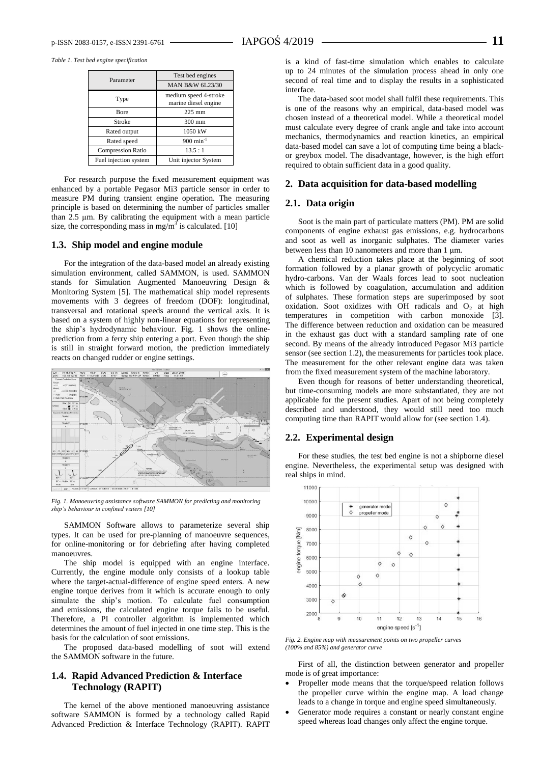*Table 1. Test bed engine specification*

| Parameter                | Test bed engines                              |
|--------------------------|-----------------------------------------------|
|                          | MAN B&W 6L23/30                               |
| Type                     | medium speed 4-stroke<br>marine diesel engine |
| <b>B</b> ore             | $225$ mm                                      |
| Stroke                   | $300 \text{ mm}$                              |
| Rated output             | 1050 kW                                       |
| Rated speed              | $900 \text{ min}^{-1}$                        |
| <b>Compression Ratio</b> | 13.5:1                                        |
| Fuel injection system    | Unit injector System                          |

For research purpose the fixed measurement equipment was enhanced by a portable Pegasor Mi3 particle sensor in order to measure PM during transient engine operation. The measuring principle is based on determining the number of particles smaller than 2.5 µm. By calibrating the equipment with a mean particle size, the corresponding mass in mg/m<sup>3</sup> is calculated. [10]

#### **1.3. Ship model and engine module**

For the integration of the data-based model an already existing simulation environment, called SAMMON, is used. SAMMON stands for Simulation Augmented Manoeuvring Design & Monitoring System [5]. The mathematical ship model represents movements with 3 degrees of freedom (DOF): longitudinal, transversal and rotational speeds around the vertical axis. It is based on a system of highly non-linear equations for representing the ship's hydrodynamic behaviour. Fig. 1 shows the onlineprediction from a ferry ship entering a port. Even though the ship is still in straight forward motion, the prediction immediately reacts on changed rudder or engine settings.



*Fig. 1. Manoeuvring assistance software SAMMON for predicting and monitoring ship's behaviour in confined waters [10]*

SAMMON Software allows to parameterize several ship types. It can be used for pre-planning of manoeuvre sequences, for online-monitoring or for debriefing after having completed manoeuvres.

The ship model is equipped with an engine interface. Currently, the engine module only consists of a lookup table where the target-actual-difference of engine speed enters. A new engine torque derives from it which is accurate enough to only simulate the ship's motion. To calculate fuel consumption and emissions, the calculated engine torque fails to be useful. Therefore, a PI controller algorithm is implemented which determines the amount of fuel injected in one time step. This is the basis for the calculation of soot emissions.

The proposed data-based modelling of soot will extend the SAMMON software in the future.

# **1.4. Rapid Advanced Prediction & Interface Technology (RAPIT)**

The kernel of the above mentioned manoeuvring assistance software SAMMON is formed by a technology called Rapid Advanced Prediction & Interface Technology (RAPIT). RAPIT is a kind of fast-time simulation which enables to calculate up to 24 minutes of the simulation process ahead in only one second of real time and to display the results in a sophisticated interface.

The data-based soot model shall fulfil these requirements. This is one of the reasons why an empirical, data-based model was chosen instead of a theoretical model. While a theoretical model must calculate every degree of crank angle and take into account mechanics, thermodynamics and reaction kinetics, an empirical data-based model can save a lot of computing time being a blackor greybox model. The disadvantage, however, is the high effort required to obtain sufficient data in a good quality.

#### **2. Data acquisition for data-based modelling**

#### **2.1. Data origin**

Soot is the main part of particulate matters (PM). PM are solid components of engine exhaust gas emissions, e.g. hydrocarbons and soot as well as inorganic sulphates. The diameter varies between less than 10 nanometers and more than 1 μm.

A chemical reduction takes place at the beginning of soot formation followed by a planar growth of polycyclic aromatic hydro-carbons. Van der Waals forces lead to soot nucleation which is followed by coagulation, accumulation and addition of sulphates. These formation steps are superimposed by soot oxidation. Soot oxidizes with OH radicals and  $O<sub>2</sub>$  at high temperatures in competition with carbon monoxide [3]. The difference between reduction and oxidation can be measured in the exhaust gas duct with a standard sampling rate of one second. By means of the already introduced Pegasor Mi3 particle sensor (see section 1.2), the measurements for particles took place. The measurement for the other relevant engine data was taken from the fixed measurement system of the machine laboratory.

Even though for reasons of better understanding theoretical, but time-consuming models are more substantiated, they are not applicable for the present studies. Apart of not being completely described and understood, they would still need too much computing time than RAPIT would allow for (see section 1.4).

#### **2.2. Experimental design**

For these studies, the test bed engine is not a shipborne diesel engine. Nevertheless, the experimental setup was designed with real ships in mind.



*Fig. 2. Engine map with measurement points on two propeller curves (100% and 85%) and generator curve*

First of all, the distinction between generator and propeller mode is of great importance:

- Propeller mode means that the torque/speed relation follows the propeller curve within the engine map. A load change leads to a change in torque and engine speed simultaneously.
- Generator mode requires a constant or nearly constant engine speed whereas load changes only affect the engine torque.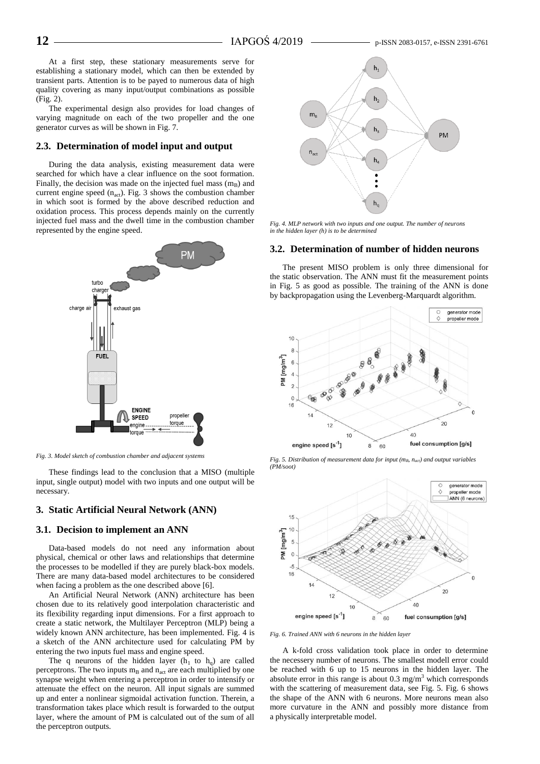At a first step, these stationary measurements serve for establishing a stationary model, which can then be extended by transient parts. Attention is to be payed to numerous data of high quality covering as many input/output combinations as possible (Fig. 2).

The experimental design also provides for load changes of varying magnitude on each of the two propeller and the one generator curves as will be shown in Fig. 7.

#### **2.3. Determination of model input and output**

During the data analysis, existing measurement data were searched for which have a clear influence on the soot formation. Finally, the decision was made on the injected fuel mass  $(m_B)$  and current engine speed  $(n_{act})$ . Fig. 3 shows the combustion chamber in which soot is formed by the above described reduction and oxidation process. This process depends mainly on the currently injected fuel mass and the dwell time in the combustion chamber represented by the engine speed.



*Fig. 3. Model sketch of combustion chamber and adjacent systems*

These findings lead to the conclusion that a MISO (multiple input, single output) model with two inputs and one output will be necessary.

#### **3. Static Artificial Neural Network (ANN)**

## **3.1. Decision to implement an ANN**

Data-based models do not need any information about physical, chemical or other laws and relationships that determine the processes to be modelled if they are purely black-box models. There are many data-based model architectures to be considered when facing a problem as the one described above [6].

An Artificial Neural Network (ANN) architecture has been chosen due to its relatively good interpolation characteristic and its flexibility regarding input dimensions. For a first approach to create a static network, the Multilayer Perceptron (MLP) being a widely known ANN architecture, has been implemented. Fig. 4 is a sketch of the ANN architecture used for calculating PM by entering the two inputs fuel mass and engine speed.

The q neurons of the hidden layer  $(h_1$  to  $h_q$ ) are called perceptrons. The two inputs  $m_B$  and  $n_{act}$  are each multiplied by one synapse weight when entering a perceptron in order to intensify or attenuate the effect on the neuron. All input signals are summed up and enter a nonlinear sigmoidal activation function. Therein, a transformation takes place which result is forwarded to the output layer, where the amount of PM is calculated out of the sum of all the perceptron outputs.



*Fig. 4. MLP network with two inputs and one output. The number of neurons in the hidden layer (h) is to be determined*

#### **3.2. Determination of number of hidden neurons**

The present MISO problem is only three dimensional for the static observation. The ANN must fit the measurement points in Fig. 5 as good as possible. The training of the ANN is done by backpropagation using the Levenberg-Marquardt algorithm.







*Fig. 6. Trained ANN with 6 neurons in the hidden layer*

A k-fold cross validation took place in order to determine the necessery number of neurons. The smallest modell error could be reached with 6 up to 15 neurons in the hidden layer. The absolute error in this range is about  $0.3 \text{ mg/m}^3$  which corresponds with the scattering of measurement data, see Fig. 5. Fig. 6 shows the shape of the ANN with 6 neurons. More neurons mean also more curvature in the ANN and possibly more distance from a physically interpretable model.